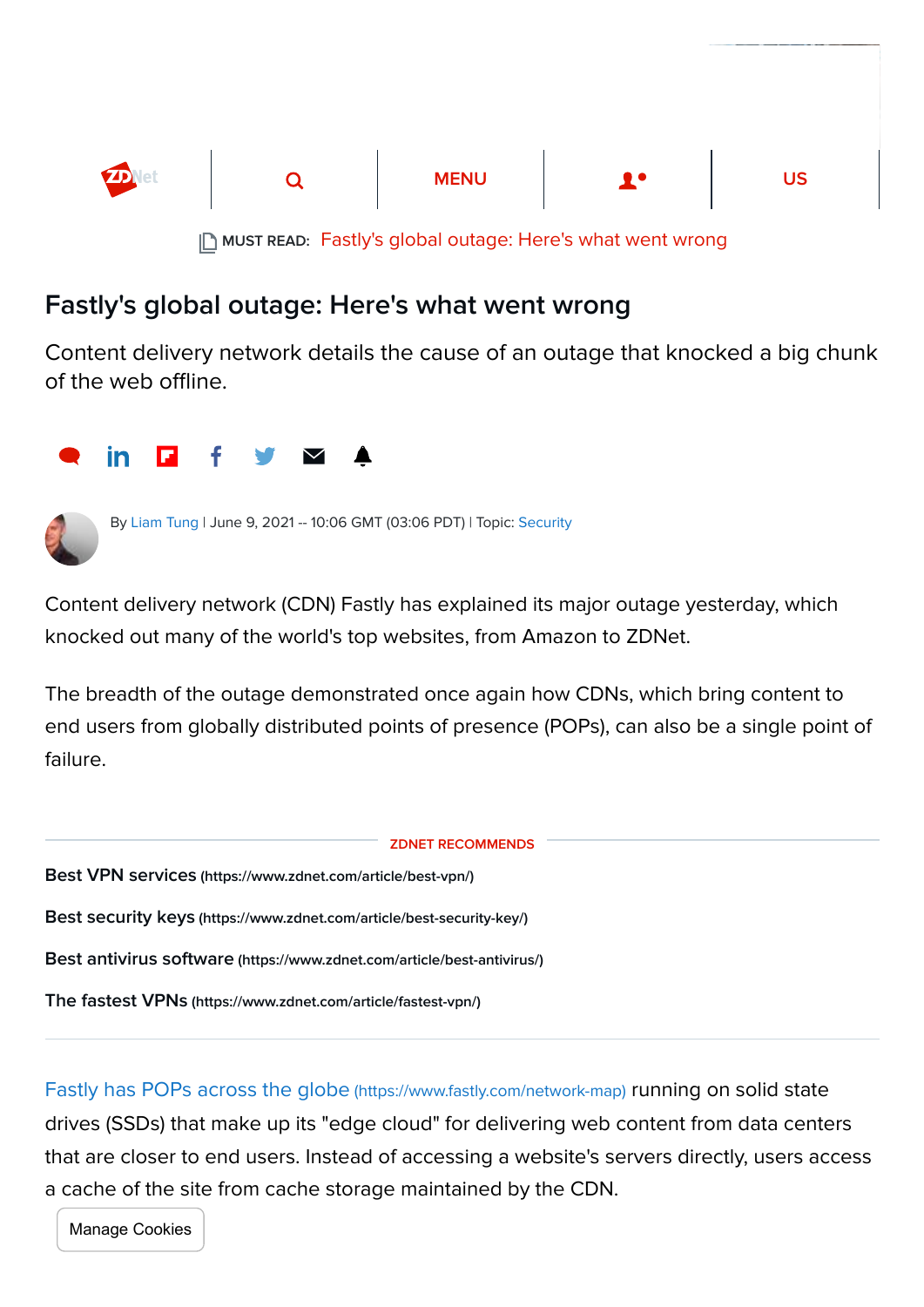

## Fastly's global outage: Here's what went wrong

Content delivery network details the cause of an outage that knocked a big chunk of the web offline.





By [Liam Tung](https://www.zdnet.com/meet-the-team/eu/liam-tung/) | June 9, 2021 -- 10:06 GMT (03:06 PDT) | Topic: [Security](https://www.zdnet.com/topic/security/)

Content delivery network (CDN) Fastly has explained its major outage yesterday, which knocked out many of the world's top websites, from Amazon to ZDNet.

The breadth of the outage demonstrated once again how CDNs, which bring content to end users from globally distributed points of presence (POPs), can also be a single point of failure.



[Fastly has POPs across the globe](https://www.fastly.com/network-map) (https://www.fastly.com/network-map) running on solid state drives (SSDs) that make up its "edge cloud" for delivering web content from data centers that are closer to end users. Instead of accessing a website's servers directly, users access a cache of the site from cache storage maintained by the CDN.

Manage Cookies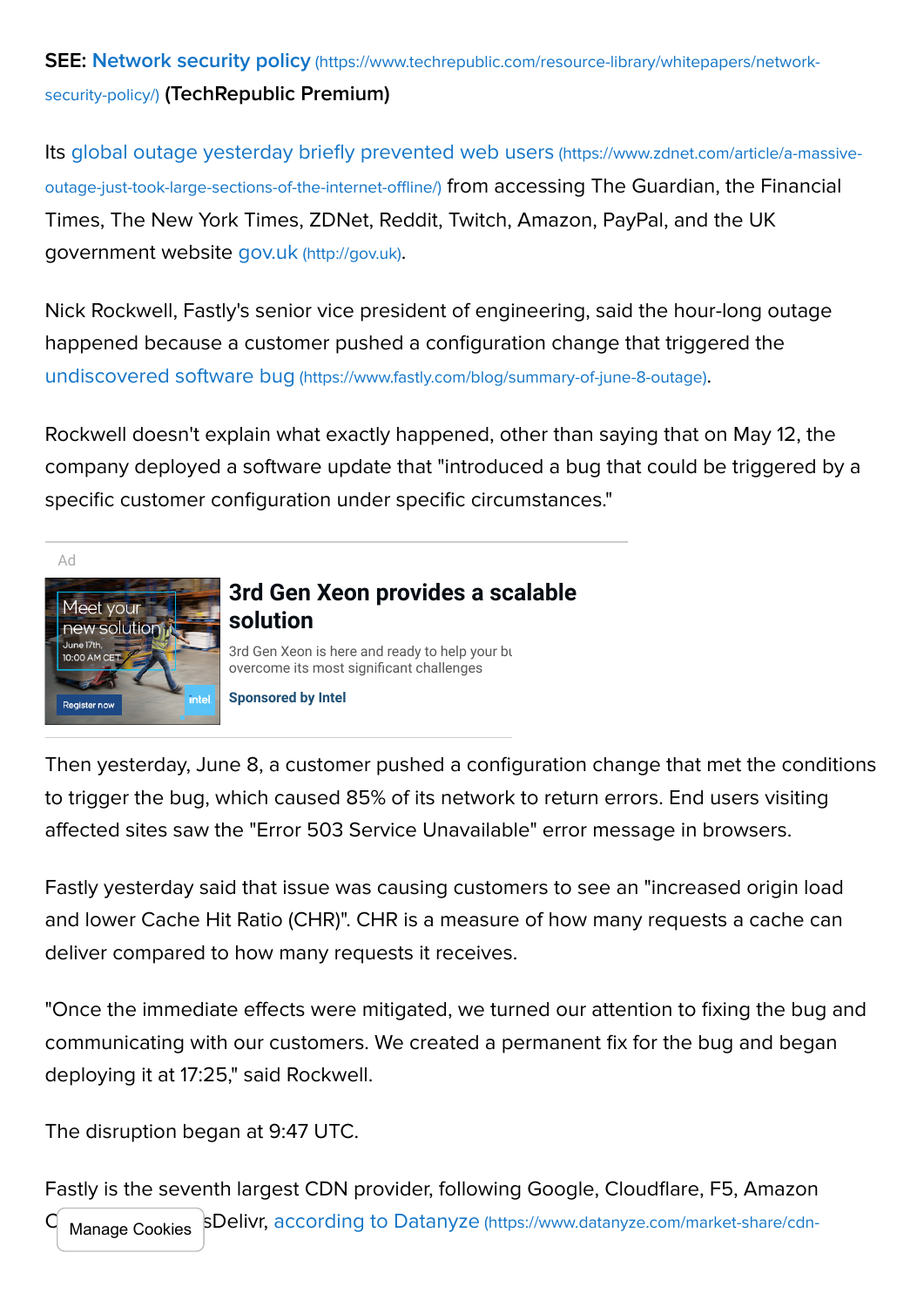SEE: Network security policy [\(https://www.techrepublic.com/resource-library/whitepapers/network](https://www.techrepublic.com/resource-library/whitepapers/network-security-policy/)security-policy/) (TechRepublic Premium)

[Its global outage yesterday briefly prevented web users](https://www.zdnet.com/article/a-massive-outage-just-took-large-sections-of-the-internet-offline/) (https://www.zdnet.com/article/a-massiveoutage-just-took-large-sections-of-the-internet-offline/) from accessing The Guardian, the Financial Times, The New York Times, ZDNet, Reddit, Twitch, Amazon, PayPal, and the UK government website gov.uk [\(http://gov.uk\)](http://gov.uk/).

Nick Rockwell, Fastly's senior vice president of engineering, said the hour-long outage happened because a customer pushed a configuration change that triggered the undiscovered software bug [\(https://www.fastly.com/blog/summary-of-june-8-outage\)](https://www.fastly.com/blog/summary-of-june-8-outage).

Rockwell doesn't explain what exactly happened, other than saying that on May 12, the company deployed a software update that "introduced a bug that could be triggered by a specific customer configuration under specific circumstances."

Ad



## **[3rd Gen Xeon provides a scalable](https://adclick.g.doubleclick.net/pcs/click?xai=AKAOjssmbkwEZG3WcqfHkx7xK82Orx0sRSDaaWVojW2SQxMICEmvav-xi9XIlazUODwsZqt9JYNZEwY88fisTBaGHOB_D0TnVF94XI_ZArWpicrKg0FAdM-5EI9OtInRtOEIFWygDAInp_TpASpu8NBunGIn3HJXiO-FrkETw8ajEQWKX72m1ukCCE8tZ6Tjyt1BifFBf1GpcJr1deZ-o5U_EG1ej1_dTm4t82gBsgj3vUdZKlGo-bdg9RBKCMVu0vkOqPS09oMsNZQwCGs600lFvC62bhDVTUiiiqF0jwjb_E0&sig=Cg0ArKJSzI08htGxUVvWEAE&fbs_aeid=[gw_fbsaeid]&urlfix=1&adurl=https://plan.seek.intel.com/wonderful-EMEA-ecosystem-event%3Frefsrc%3Ddirect) solution** [3rd Gen Xeon is here and ready to help your business](https://adclick.g.doubleclick.net/pcs/click?xai=AKAOjssmbkwEZG3WcqfHkx7xK82Orx0sRSDaaWVojW2SQxMICEmvav-xi9XIlazUODwsZqt9JYNZEwY88fisTBaGHOB_D0TnVF94XI_ZArWpicrKg0FAdM-5EI9OtInRtOEIFWygDAInp_TpASpu8NBunGIn3HJXiO-FrkETw8ajEQWKX72m1ukCCE8tZ6Tjyt1BifFBf1GpcJr1deZ-o5U_EG1ej1_dTm4t82gBsgj3vUdZKlGo-bdg9RBKCMVu0vkOqPS09oMsNZQwCGs600lFvC62bhDVTUiiiqF0jwjb_E0&sig=Cg0ArKJSzI08htGxUVvWEAE&fbs_aeid=[gw_fbsaeid]&urlfix=1&adurl=https://plan.seek.intel.com/wonderful-EMEA-ecosystem-event%3Frefsrc%3Ddirect)

overcome its most significant challenges

**[Sponsored by Intel](https://adclick.g.doubleclick.net/pcs/click?xai=AKAOjssmbkwEZG3WcqfHkx7xK82Orx0sRSDaaWVojW2SQxMICEmvav-xi9XIlazUODwsZqt9JYNZEwY88fisTBaGHOB_D0TnVF94XI_ZArWpicrKg0FAdM-5EI9OtInRtOEIFWygDAInp_TpASpu8NBunGIn3HJXiO-FrkETw8ajEQWKX72m1ukCCE8tZ6Tjyt1BifFBf1GpcJr1deZ-o5U_EG1ej1_dTm4t82gBsgj3vUdZKlGo-bdg9RBKCMVu0vkOqPS09oMsNZQwCGs600lFvC62bhDVTUiiiqF0jwjb_E0&sig=Cg0ArKJSzI08htGxUVvWEAE&fbs_aeid=[gw_fbsaeid]&urlfix=1&adurl=https://plan.seek.intel.com/wonderful-EMEA-ecosystem-event%3Frefsrc%3Ddirect)**

Then yesterday, June 8, a customer pushed a configuration change that met the conditions to trigger the bug, which caused 85% of its network to return errors. End users visiting affected sites saw the "Error 503 Service Unavailable" error message in browsers.

Fastly yesterday said that issue was causing customers to see an "increased origin load and lower Cache Hit Ratio (CHR)". CHR is a measure of how many requests a cache can deliver compared to how many requests it receives.

"Once the immediate effects were mitigated, we turned our attention to fixing the bug and communicating with our customers. We created a permanent fix for the bug and began deploying it at 17:25," said Rockwell.

The disruption began at 9:47 UTC.

Fastly is the seventh largest CDN provider, following Google, Cloudflare, F5, Amazon SDelivr, according to Datanyze (https://www.datanyze.com/market-share/cdn-Manage Cookies